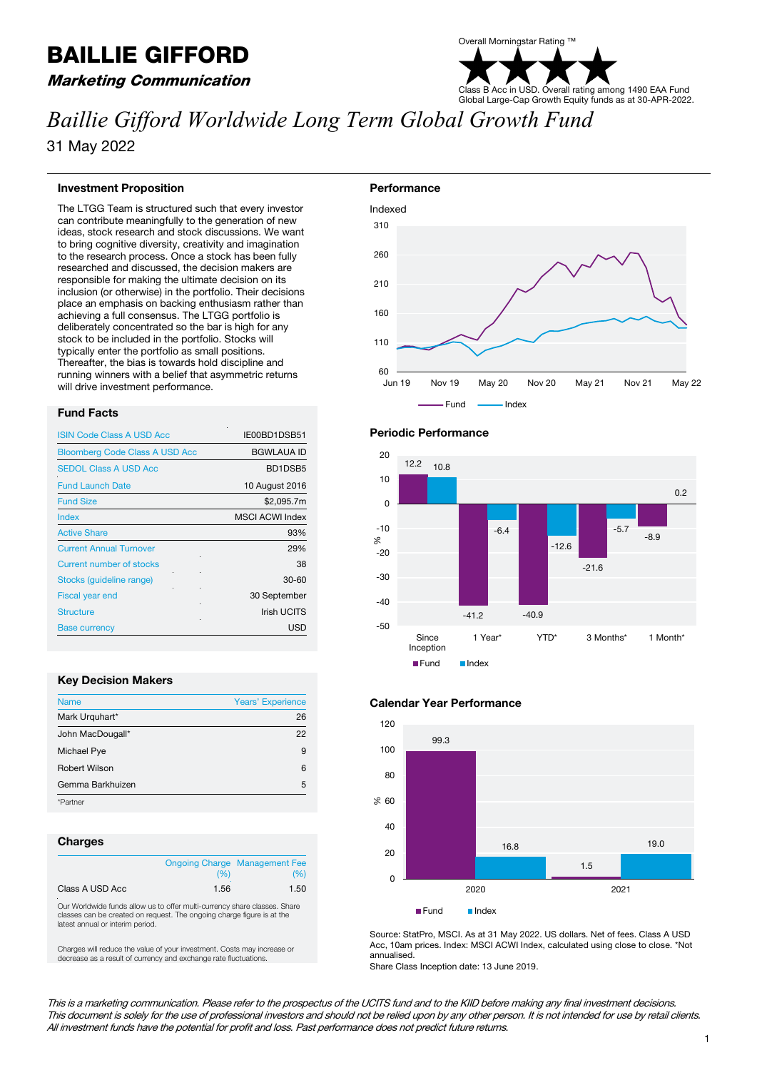# BAILLIE GIFFORD

## Marketing Communication

# Overall Morningstar Rating ™ Class B Acc in USD. Overall rating among 1490 EAA Fund Global Large-Cap Growth Equity funds as at 30-APR-2022.

# *Baillie Gifford Worldwide Long Term Global Growth Fund*

31 May 2022

#### **Investment Proposition**

The LTGG Team is structured such that every investor can contribute meaningfully to the generation of new ideas, stock research and stock discussions. We want to bring cognitive diversity, creativity and imagination to the research process. Once a stock has been fully researched and discussed, the decision makers are responsible for making the ultimate decision on its inclusion (or otherwise) in the portfolio. Their decisions place an emphasis on backing enthusiasm rather than achieving a full consensus. The LTGG portfolio is deliberately concentrated so the bar is high for any stock to be included in the portfolio. Stocks will typically enter the portfolio as small positions. Thereafter, the bias is towards hold discipline and running winners with a belief that asymmetric returns will drive investment performance.

#### **Fund Facts**

| <b>ISIN Code Class A USD Acc</b>      | IE00BD1DSB51           |
|---------------------------------------|------------------------|
| <b>Bloomberg Code Class A USD Acc</b> | <b>BGWLAUA ID</b>      |
| <b>SEDOL Class A USD Acc</b>          | BD1DSB5                |
| <b>Fund Launch Date</b>               | 10 August 2016         |
| <b>Fund Size</b>                      | \$2,095.7m             |
| Index                                 | <b>MSCI ACWI Index</b> |
| <b>Active Share</b>                   | 93%                    |
| <b>Current Annual Turnover</b>        | 29%                    |
| <b>Current number of stocks</b>       | 38                     |
| Stocks (guideline range)              | $30 - 60$              |
| <b>Fiscal year end</b>                | 30 September           |
| <b>Structure</b>                      | <b>Irish UCITS</b>     |
| <b>Base currency</b>                  | <b>USD</b>             |

#### **Key Decision Makers**

| <b>Name</b>          | <b>Years' Experience</b> |
|----------------------|--------------------------|
| Mark Urguhart*       | 26                       |
| John MacDougall*     | 22                       |
| Michael Pye          | 9                        |
| <b>Robert Wilson</b> | 6                        |
| Gemma Barkhuizen     | 5                        |
| *Partner             |                          |

#### **Charges**

|                 | (96) | <b>Ongoing Charge Management Fee</b><br>(96) |
|-----------------|------|----------------------------------------------|
| Class A USD Acc | 1.56 | 1.50                                         |

Our Worldwide funds allow us to offer multi-currency share classes. Share classes can be created on request. The ongoing charge figure is at the latest annual or interim period.

Charges will reduce the value of your investment. Costs may increase or decrease as a result of currency and exchange rate fluctuations.









Source: StatPro, MSCI. As at 31 May 2022. US dollars. Net of fees. Class A USD Acc, 10am prices. Index: MSCI ACWI Index, calculated using close to close. \*Not annualised.

Share Class Inception date: 13 June 2019.

This is a marketing communication. Please refer to the prospectus of the UCITS fund and to the KIID before making any final investment decisions. This document is solely for the use of professional investors and should not be relied upon by any other person. It is not intended for use by retail clients. All investment funds have the potential for profit and loss. Past performance does not predict future returns.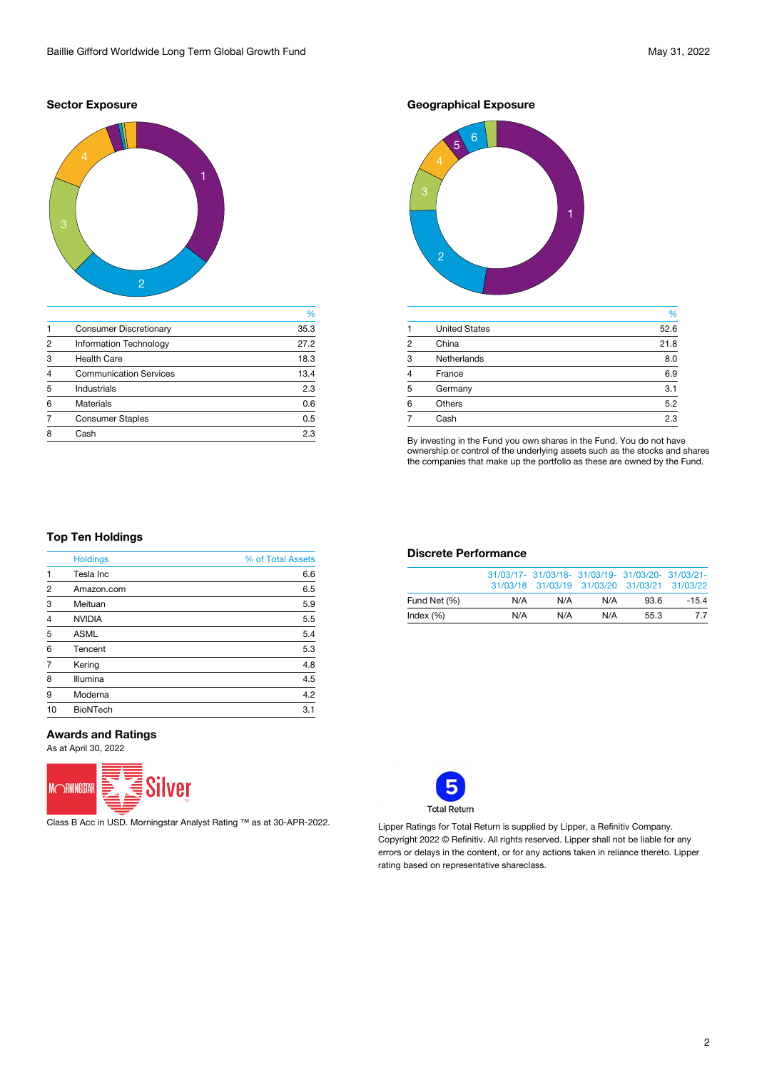#### **Sector Exposure**



|                |                               | %    |
|----------------|-------------------------------|------|
|                | <b>Consumer Discretionary</b> | 35.3 |
| 2              | <b>Information Technology</b> | 27.2 |
| 3              | <b>Health Care</b>            | 18.3 |
| $\overline{4}$ | <b>Communication Services</b> | 13.4 |
| 5              | <b>Industrials</b>            | 2.3  |
| 6              | <b>Materials</b>              | 0.6  |
|                | <b>Consumer Staples</b>       | 0.5  |
| 8              | Cash                          | 2.3  |
|                |                               |      |

**Geographical Exposure**



|                |                      | %    |
|----------------|----------------------|------|
|                | <b>United States</b> | 52.6 |
| 2              | China                | 21.8 |
| 3              | <b>Netherlands</b>   | 8.0  |
| $\overline{4}$ | France               | 6.9  |
| 5              | Germany              | 3.1  |
| 6              | <b>Others</b>        | 5.2  |
|                | Cash                 | 2.3  |
|                |                      |      |

By investing in the Fund you own shares in the Fund. You do not have ownership or control of the underlying assets such as the stocks and shares the companies that make up the portfolio as these are owned by the Fund.

#### **Top Ten Holdings**

|                | <b>Holdings</b> | % of Total Assets |
|----------------|-----------------|-------------------|
| 1              | Tesla Inc       | 6.6               |
| $\overline{2}$ | Amazon.com      | 6.5               |
| 3              | Meituan         | 5.9               |
| $\overline{4}$ | <b>NVIDIA</b>   | 5.5               |
| 5              | <b>ASML</b>     | 5.4               |
| 6              | Tencent         | 5.3               |
| $\overline{7}$ | Kering          | 4.8               |
| 8              | Illumina        | 4.5               |
| 9              | Moderna         | 4.2               |
| 10             | <b>BioNTech</b> | 3.1               |

#### **Awards and Ratings**

As at April 30, 2022



Class B Acc in USD. Morningstar Analyst Rating ™ as at 30-APR-2022. Lipper Ratings for Total Return is supplied by Lipper, a Refinitiv Company.

### **Discrete Performance**

|              |     | 31/03/17- 31/03/18- 31/03/19- 31/03/20- 31/03/21-<br>31/03/18 31/03/19 31/03/20 31/03/21 31/03/22 |     |      |         |
|--------------|-----|---------------------------------------------------------------------------------------------------|-----|------|---------|
| Fund Net (%) | N/A | N/A                                                                                               | N/A | 93.6 | $-15.4$ |
| Index (%)    | N/A | N/A                                                                                               | N/A | 55.3 | 77      |



Copyright 2022 © Refinitiv. All rights reserved. Lipper shall not be liable for any errors or delays in the content, or for any actions taken in reliance thereto. Lipper rating based on representative shareclass.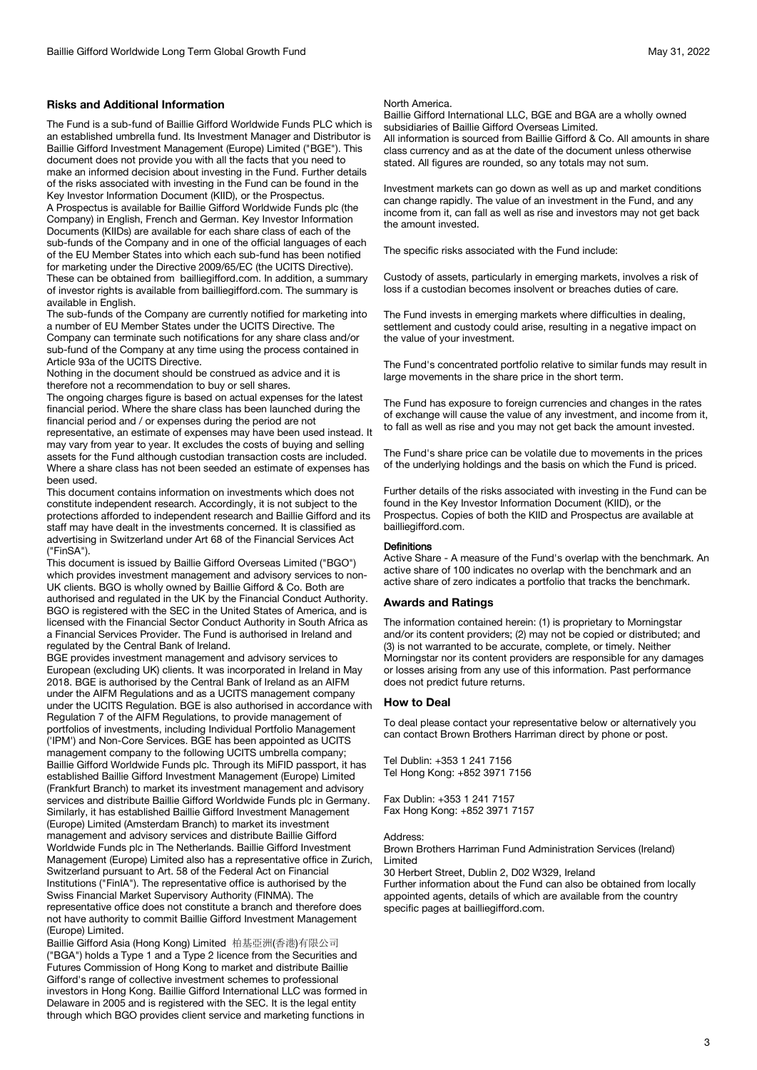#### **Risks and Additional Information**

The Fund is a sub-fund of Baillie Gifford Worldwide Funds PLC which is an established umbrella fund. Its Investment Manager and Distributor is Baillie Gifford Investment Management (Europe) Limited ("BGE"). This document does not provide you with all the facts that you need to make an informed decision about investing in the Fund. Further details of the risks associated with investing in the Fund can be found in the Key Investor Information Document (KIID), or the Prospectus.

A Prospectus is available for Baillie Gifford Worldwide Funds plc (the Company) in English, French and German. Key Investor Information Documents (KIIDs) are available for each share class of each of the sub-funds of the Company and in one of the official languages of each of the EU Member States into which each sub-fund has been notified for marketing under the Directive 2009/65/EC (the UCITS Directive). These can be obtained from bailliegifford.com. In addition, a summary of investor rights is available from bailliegifford.com. The summary is available in English.

The sub-funds of the Company are currently notified for marketing into a number of EU Member States under the UCITS Directive. The Company can terminate such notifications for any share class and/or sub-fund of the Company at any time using the process contained in Article 93a of the UCITS Directive.

Nothing in the document should be construed as advice and it is therefore not a recommendation to buy or sell shares.

The ongoing charges figure is based on actual expenses for the latest financial period. Where the share class has been launched during the financial period and / or expenses during the period are not representative, an estimate of expenses may have been used instead. It

may vary from year to year. It excludes the costs of buying and selling assets for the Fund although custodian transaction costs are included. Where a share class has not been seeded an estimate of expenses has been used.

This document contains information on investments which does not constitute independent research. Accordingly, it is not subject to the protections afforded to independent research and Baillie Gifford and its staff may have dealt in the investments concerned. It is classified as advertising in Switzerland under Art 68 of the Financial Services Act ("FinSA").

This document is issued by Baillie Gifford Overseas Limited ("BGO") which provides investment management and advisory services to non-UK clients. BGO is wholly owned by Baillie Gifford & Co. Both are authorised and regulated in the UK by the Financial Conduct Authority. BGO is registered with the SEC in the United States of America, and is licensed with the Financial Sector Conduct Authority in South Africa as a Financial Services Provider. The Fund is authorised in Ireland and regulated by the Central Bank of Ireland.

BGE provides investment management and advisory services to European (excluding UK) clients. It was incorporated in Ireland in May 2018. BGE is authorised by the Central Bank of Ireland as an AIFM under the AIFM Regulations and as a UCITS management company under the UCITS Regulation. BGE is also authorised in accordance with Regulation 7 of the AIFM Regulations, to provide management of portfolios of investments, including Individual Portfolio Management ('IPM') and Non-Core Services. BGE has been appointed as UCITS management company to the following UCITS umbrella company; Baillie Gifford Worldwide Funds plc. Through its MiFID passport, it has established Baillie Gifford Investment Management (Europe) Limited (Frankfurt Branch) to market its investment management and advisory services and distribute Baillie Gifford Worldwide Funds plc in Germany. Similarly, it has established Baillie Gifford Investment Management (Europe) Limited (Amsterdam Branch) to market its investment management and advisory services and distribute Baillie Gifford Worldwide Funds plc in The Netherlands. Baillie Gifford Investment Management (Europe) Limited also has a representative office in Zurich, Switzerland pursuant to Art. 58 of the Federal Act on Financial Institutions ("FinIA"). The representative office is authorised by the Swiss Financial Market Supervisory Authority (FINMA). The representative office does not constitute a branch and therefore does not have authority to commit Baillie Gifford Investment Management (Europe) Limited.

Baillie Gifford Asia (Hong Kong) Limited 柏基亞洲(香港)有限公司 ("BGA") holds a Type 1 and a Type 2 licence from the Securities and Futures Commission of Hong Kong to market and distribute Baillie Gifford's range of collective investment schemes to professional investors in Hong Kong. Baillie Gifford International LLC was formed in Delaware in 2005 and is registered with the SEC. It is the legal entity through which BGO provides client service and marketing functions in

#### North America.

Baillie Gifford International LLC, BGE and BGA are a wholly owned subsidiaries of Baillie Gifford Overseas Limited. All information is sourced from Baillie Gifford & Co. All amounts in share

class currency and as at the date of the document unless otherwise stated. All figures are rounded, so any totals may not sum.

Investment markets can go down as well as up and market conditions can change rapidly. The value of an investment in the Fund, and any income from it, can fall as well as rise and investors may not get back the amount invested.

The specific risks associated with the Fund include:

Custody of assets, particularly in emerging markets, involves a risk of loss if a custodian becomes insolvent or breaches duties of care.

The Fund invests in emerging markets where difficulties in dealing, settlement and custody could arise, resulting in a negative impact on the value of your investment.

The Fund's concentrated portfolio relative to similar funds may result in large movements in the share price in the short term.

The Fund has exposure to foreign currencies and changes in the rates of exchange will cause the value of any investment, and income from it, to fall as well as rise and you may not get back the amount invested.

The Fund's share price can be volatile due to movements in the prices of the underlying holdings and the basis on which the Fund is priced.

Further details of the risks associated with investing in the Fund can be found in the Key Investor Information Document (KIID), or the Prospectus. Copies of both the KIID and Prospectus are available at bailliegifford.com.

#### **Definitions**

Active Share - A measure of the Fund's overlap with the benchmark. An active share of 100 indicates no overlap with the benchmark and an active share of zero indicates a portfolio that tracks the benchmark.

#### **Awards and Ratings**

The information contained herein: (1) is proprietary to Morningstar and/or its content providers; (2) may not be copied or distributed; and (3) is not warranted to be accurate, complete, or timely. Neither Morningstar nor its content providers are responsible for any damages or losses arising from any use of this information. Past performance does not predict future returns.

#### **How to Deal**

To deal please contact your representative below or alternatively you can contact Brown Brothers Harriman direct by phone or post.

Tel Dublin: +353 1 241 7156 Tel Hong Kong: +852 3971 7156

Fax Dublin: +353 1 241 7157 Fax Hong Kong: +852 3971 7157

#### Address:

Brown Brothers Harriman Fund Administration Services (Ireland) Limited

30 Herbert Street, Dublin 2, D02 W329, Ireland

Further information about the Fund can also be obtained from locally appointed agents, details of which are available from the country specific pages at bailliegifford.com.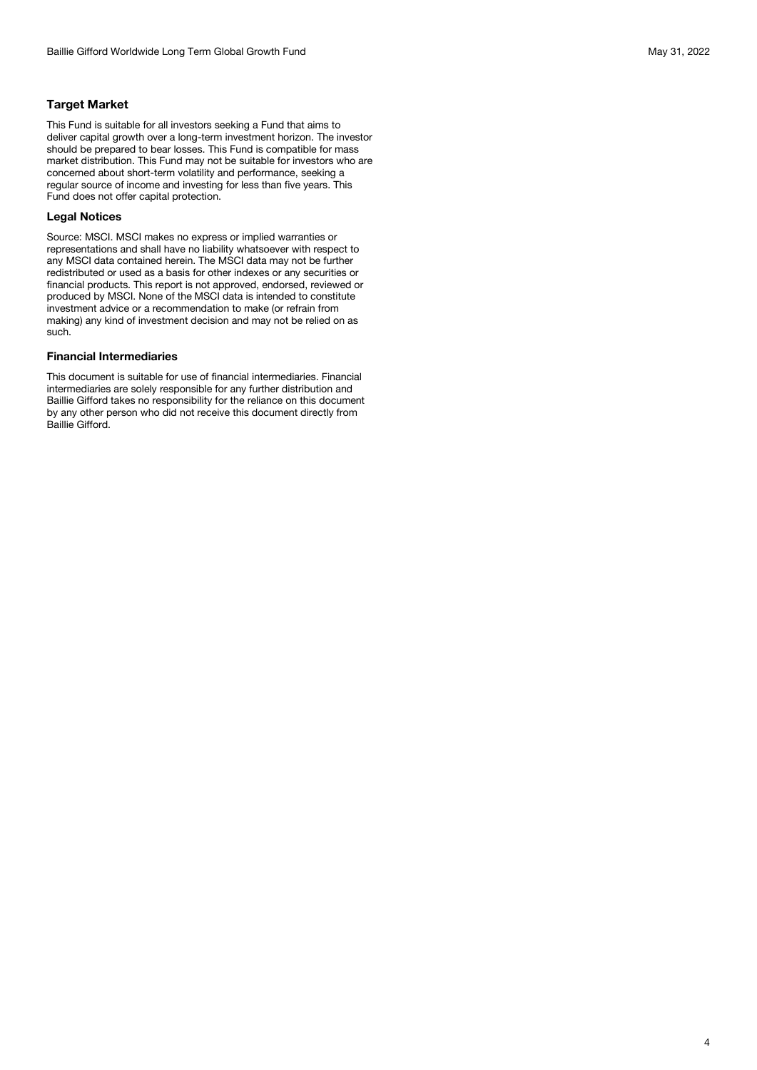#### **Target Market**

This Fund is suitable for all investors seeking a Fund that aims to deliver capital growth over a long-term investment horizon. The investor should be prepared to bear losses. This Fund is compatible for mass market distribution. This Fund may not be suitable for investors who are concerned about short-term volatility and performance, seeking a regular source of income and investing for less than five years. This Fund does not offer capital protection.

#### **Legal Notices**

Source: MSCI. MSCI makes no express or implied warranties or representations and shall have no liability whatsoever with respect to any MSCI data contained herein. The MSCI data may not be further redistributed or used as a basis for other indexes or any securities or financial products. This report is not approved, endorsed, reviewed or produced by MSCI. None of the MSCI data is intended to constitute investment advice or a recommendation to make (or refrain from making) any kind of investment decision and may not be relied on as such.

#### **Financial Intermediaries**

This document is suitable for use of financial intermediaries. Financial intermediaries are solely responsible for any further distribution and Baillie Gifford takes no responsibility for the reliance on this document by any other person who did not receive this document directly from Baillie Gifford.